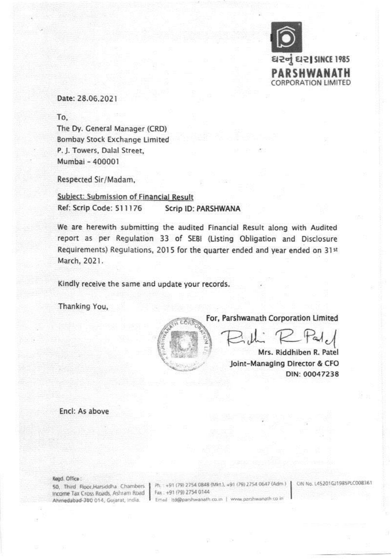

Date: 28.06.2021

To,

The Dy. General Manager (CRD) Bombay Stock Exchange Limited P. J. Towers, Dalai Street, Mumbai - 400001

Respected Sir/Madam,

Subject: Submission of Financial Result Ref: Scrip Code: 511176 Scrip ID: PARSHWANA

We are herewith submitting the audited Financial Result along with Audited report as per Regulation 33 of SEBI (Listing Obligation and Disclosure Requirements) Regulations, 2015 for the quarter ended and year ended on 31st March, 2021.

Kindly receive the same and update your records.

Thanking You,

For, Parshwanath Corporation Limited

UL RPald

Mrs. Riddhiben R. Patel Joint-Managing Director & CFO DIN: 00047238

End: As above

Regd. Office:

SO, Thud Floot.Harsiddha Chambers Income Tax Cross Roads, Ashram Road Ahmedabad-380 014, Gujarat, India,

Ph: +91 (79) 2754 0848 (Mkt), +91 (79) 2754 0647 (Adm.) Fax. +91 (79) 2754 0144 Email ttd@parshwanath.co.in | www.parshwanath.co in

CIN No. L45201GJ1985PLC008361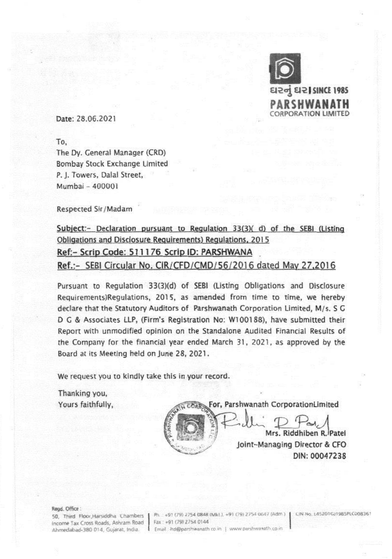

# Date: 28.06.2021

To,

The Dy. General Manager (CRD) Bombay Stock Exchange Limited P. J. Towers, Dalai Street, Mumbai - 400001

Respected Sir/Madam

# Subject:- Declaration pursuant to Regulation  $33(3)(d)$  of the SEBI (Listing Obligations and Disclosure Requirements) Requiations. 2015 Ref:- Scrip Code: 5111 76 Scrip ID: PARSHWANA Ref.:- SEBI Circular No. CIR/CFD/CMD/56/2016 dated May 27,2016

Pursuant to Regulation 33(3)(d) of SEBI (Listing Obligations and Disclosure Requirements)Regulations, 2015, as amended from time to time, we hereby declare that the Statutory Auditors of Parshwanath Corporation Limited, M/s. S G D G & Associates LIP, (Firm's Registration No: W100188), have submitted their Report with unmodified opinion on the Standalone Audited Financial Results of the Company for the financial year ended March 31, 2021, as approved by the Board at its Meeting held on June 28, 2021.

We request you to kindly take this in your record.

Thanking you,

Yours faithfully, The College of Parshwanath CorporationLimited

Mrs. Riddhiben R. Patel Joint-Managing Director & CFO DIN: 00047238

Regd. Office :

Income Tax Cross Roads, Ashram Road<br>Ahmedabad-380 014, Gujarat, India.

50. Third Floor.Harsiddha Chambers Ph. .491 (79) 2754 (848 (Mkt.). +91 (79) 2754 0647 (Adm.) c.IN No. 145201G/1985PLC008361<br>Income Tax Cross Roads. Ashram Road Fax : +91 (79) 2754 0144 Email: Itd@parshwanath.co.in | www.parshwarath.co.in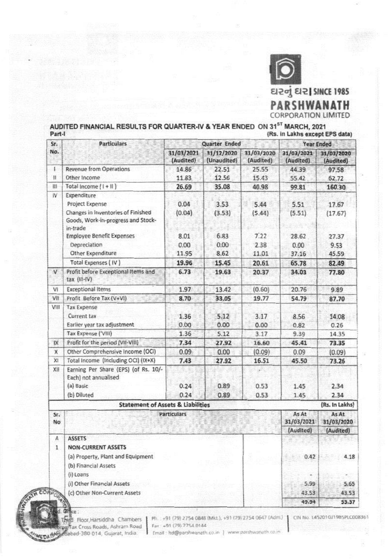

AUDITED FINANCIAL RESULTS FOR QUARTER-IV & YEAR ENDED ON 31<sup>st</sup> MARCH, 2021 Part I (Rs. in Lakhs except EPS data)

| Sr.<br>No. | <b>Particulars</b>                                                                                                                                 | Quarter Ended           |                           |                         | Year Ended                       |                                  |
|------------|----------------------------------------------------------------------------------------------------------------------------------------------------|-------------------------|---------------------------|-------------------------|----------------------------------|----------------------------------|
|            |                                                                                                                                                    | 31/03/2021<br>(Audited) | 31/12/2020<br>(Unaudited) | 31/03/2020<br>(Audited) | 31/03/2021<br>(Audited)          | 31/03/2020<br>(Audited)          |
| ŧ          | <b>Revenue from Operations</b>                                                                                                                     | 14.86                   | 22.51                     | 25.55                   | 44.39                            | 97.58                            |
| Ħ          | Other Income                                                                                                                                       | 11.83                   | 12.56                     | 15.43                   | 55.42                            | 62.72                            |
| Ш          | Total Income $(1 + 11)$                                                                                                                            | 26.69                   | 35.08                     | 40.98                   | 99.81                            | 160.30                           |
| IV.        | Expenditure<br>Project Expense<br>Changes in Inventories of Finished<br>Goods, Work-in-progress and Stock-<br>in-trade                             | 0.04<br>(0.04)          | 3.53<br>(3.53)            | 5.44<br>(5.44)          | 5.51<br>(5.51)                   | 17.67<br>(17.67)                 |
|            | <b>Employee Benefit Expenses</b>                                                                                                                   | 8.01                    | 6.83                      | 7:22                    | 28.62                            | 27.37                            |
|            | Depreciation                                                                                                                                       | 0.00                    | 0.00                      | 2.38                    | 0.00                             | 9.53                             |
|            | Other Expenditure                                                                                                                                  | 11.95                   | 8.62                      | 11.01                   | 37.16                            | 45.59                            |
|            | Total Expenses (IV)                                                                                                                                | 19.96                   | 15.45                     | 20.61                   | 65.78                            | 82.49                            |
| $\sqrt{ }$ | Profit before Exceptional Items and<br>tax (HI-IV)                                                                                                 | 6.73                    | 19.63                     | 20.37                   | 34.03                            | 77.80                            |
| VI         | <b>Exceptional Items</b>                                                                                                                           | 1.97                    | 13.42                     | (0.60)                  | 20.76                            | 9.89                             |
| VII        | Profit Before Tax (V+VI)                                                                                                                           | 8.70                    | 33.05                     | 19.77                   | 54.79                            | 87.70                            |
| VIII       | <b>Tax Expense</b><br>Current tax<br>Earlier year tax adjustment                                                                                   | 1.36<br>0.00            | 5.12<br>0.00              | 3.17<br>0.00            | 8.56<br>0.82                     | 14.08<br>0.26                    |
|            | Tax Expense ('VIII)                                                                                                                                | 1.36                    | 5.12                      | 3.17                    | 9.39                             | 14.35                            |
| IX         | Profit for the period (VII-VIII)                                                                                                                   | 7.34                    | 27.92                     | 16.60                   | 45.41                            | 73.35                            |
| X          | Other Comprehensive Income (OCI)                                                                                                                   | 0.09                    | 0.00                      | (0.09)                  | 0.09                             | (0.09)                           |
| XI         | Total Income (Including OCI) (IX+X)                                                                                                                | 7.43                    | 27.92                     | 16.51                   | 45.50                            | 73.26                            |
| XII        | Earning Per Share (EPS) (of Rs. 10/-<br>Each) not annualised<br>(a) Basic<br>(b) Diluted                                                           | 0.24<br>0.24            | 0.89<br>0.89              | 0.53<br>0.53            | 1.45<br>1.45                     | 2.34<br>2.34                     |
|            | <b>Statement of Assets &amp; Liabilities</b>                                                                                                       |                         |                           |                         |                                  | (Rs. In Lakhs)                   |
| 5r.<br>No  |                                                                                                                                                    | <b>Particulars</b>      |                           |                         | As At<br>31/03/2021<br>(Audited) | As At<br>31/03/2020<br>(Audited) |
| Α<br>$1\,$ | <b>ASSETS</b><br><b>NON-CURRENT ASSETS</b><br>(a) Property, Plant and Equipment<br>(b) Financial Assets<br>(i) Loans<br>(i) Other Financial Assets |                         |                           |                         | 0.42<br>5.99                     | 4.18<br>5.65                     |
|            | (c) Other Non-Current Assets                                                                                                                       |                         |                           |                         | 43.53                            | 43.53                            |
|            |                                                                                                                                                    |                         |                           |                         | 49.94                            | 53.37                            |

bing/Tax Cross Roads, Ashram Road

It Hoor, Harsiddha Chambers | M. +91 (79) 2754 0848 (Mkt.), +91 (79) 2754 0647 (Adm.) | CIN No. 145201 GJ1985PLC008361  $\left\{\begin{array}{l} \text{Far} = 491 (79) 2754.0144 \\ \text{Email} : \text{hd@parshwaneth.co.in.} \end{array}\right\}$  www.parshwareth.co.in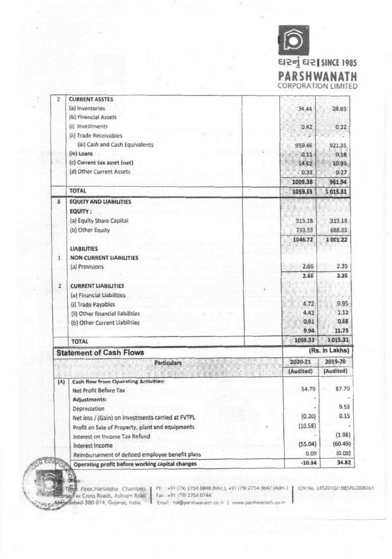

<u>घरनुं घर। SINCE 1985</u> **PARSHWANATH** 

| $\overline{z}$                                       | <b>CURRENT ASSTES</b>                             |  |           |                |
|------------------------------------------------------|---------------------------------------------------|--|-----------|----------------|
|                                                      | (a) Inventories                                   |  | 34.44     | 28.93          |
|                                                      | (b) Financial Assets                              |  |           |                |
|                                                      | (i) Investments                                   |  | 0.42      | 0.22           |
|                                                      | (ii) Trade Receivables                            |  | 項         |                |
|                                                      | (iii) Cash and Cash Equivalents                   |  | 959.46    | 921.35         |
|                                                      | (iv) Loans                                        |  | 0.11      | 0.18           |
|                                                      | (c) Current tax asset (net)                       |  | 14.62     | 10.99          |
|                                                      | (d) Other Current Assets                          |  | 0.33      | 0.27           |
|                                                      |                                                   |  | 1009.38   | 961.94         |
|                                                      | <b>TOTAL</b>                                      |  | 1059.33   | 1015.31        |
| B                                                    | <b>EQUITY AND LIABILITIES</b>                     |  |           |                |
|                                                      | <b>EQUITY:</b>                                    |  |           |                |
|                                                      | (a) Equity Share Capital                          |  | 313.18    | 313.18         |
|                                                      | (b) Other Equity                                  |  | 733.53    | 688.03         |
|                                                      |                                                   |  | 1046.72   | 1001.22        |
|                                                      | <b>LIABILITIES</b>                                |  |           |                |
| $\mathbf{1}$                                         | <b>NON-CURRENT LIABILITIES</b>                    |  |           |                |
|                                                      | (a) Provisions                                    |  | 2.66      | 2.35           |
|                                                      |                                                   |  | 2.66      | 2.35           |
| 2                                                    | <b>CURRENT LIABILITIES</b>                        |  |           |                |
|                                                      | (a) Financial Liabilities                         |  |           |                |
|                                                      | (i) Trade Payables                                |  | 4.72      | 9.95           |
|                                                      | (ii) Other financial liabilities                  |  | 4.42      | 1.12           |
|                                                      | (b) Other Current Liabilities                     |  | 0.81      | 0.68           |
|                                                      |                                                   |  | 9.94      | 11.75          |
|                                                      | <b>TOTAL</b>                                      |  | 1059.33   | 1015.31        |
|                                                      |                                                   |  |           | (Rs. In Lakhs) |
| <b>Statement of Cash Flows</b><br><b>Particulars</b> |                                                   |  | 2020-21   | 2019-20        |
|                                                      |                                                   |  | (Audited) | (Audited)      |
| (A)                                                  | <b>Cash flow from Operating Activities:</b>       |  |           |                |
|                                                      | Net Profit Before Tax                             |  | 54.79     | 87.70          |
|                                                      | Adjustments:                                      |  |           |                |
|                                                      | Depreciation                                      |  |           | 9.53           |
|                                                      | Net loss / (Gain) on investments carried at FVTPL |  | (0.20)    | 0.15           |
|                                                      | Profit on Sale of Property, plant and equipments  |  | (10.58)   |                |
|                                                      | Interest on Income Tax Refund                     |  |           | (1.98)         |
|                                                      | Interest income                                   |  | (55.04)   | (60.49)        |
|                                                      | Reimbursement of defined employee benefit plans   |  | 0.09      | (0.09)         |
|                                                      | Operating profit before working capital changes   |  | $-10.94$  | 34.82          |

The Floor Harsiddha Chambers | Ph. +91 (79) 2754 0848 (Mkt.), +91 (79) 2754 0647 (Adm.)

CIN No. L45201GJ1985PLC008361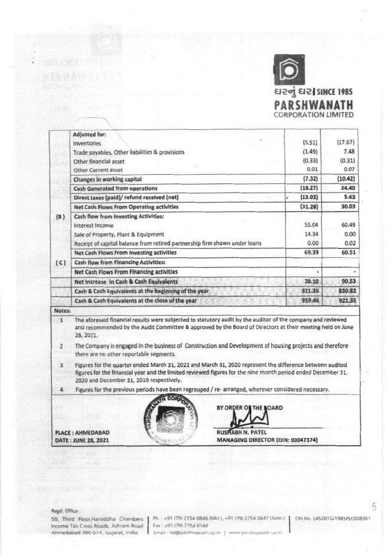

દારનું ઘર| SINCE 1985 **PARSHWANATH** CORPORATION LIMITED

|                | Adjusted for:                                                                                                                                                                                                                                                        |         |         |  |  |  |  |
|----------------|----------------------------------------------------------------------------------------------------------------------------------------------------------------------------------------------------------------------------------------------------------------------|---------|---------|--|--|--|--|
|                | Inventories                                                                                                                                                                                                                                                          | (5.51)  | (17.67) |  |  |  |  |
|                | Trade payables, Other liabilities & provisions                                                                                                                                                                                                                       | (1.49)  | 7.48    |  |  |  |  |
|                | Other financial asset                                                                                                                                                                                                                                                | (0.33)  | (0.31)  |  |  |  |  |
|                | B<br>Other Current asset                                                                                                                                                                                                                                             | 0.01    | 0.07    |  |  |  |  |
|                | Changes in working capital                                                                                                                                                                                                                                           | (7.32)  | (10.42) |  |  |  |  |
|                | <b>Cash Generated from operations</b>                                                                                                                                                                                                                                | (18.27) | 24,40   |  |  |  |  |
|                | Direct taxes (paid)/ refund received (net)                                                                                                                                                                                                                           | (13.02) | 5.63    |  |  |  |  |
|                | <b>Net Cash Flows From Operating activities</b>                                                                                                                                                                                                                      | (31.28) | 30.03   |  |  |  |  |
| (B)            | Cash flow from Investing Activities:                                                                                                                                                                                                                                 |         |         |  |  |  |  |
|                | Interest Income                                                                                                                                                                                                                                                      | 55.04   | 60.49   |  |  |  |  |
|                | Sale of Property, Plant & Equipment                                                                                                                                                                                                                                  | 14.34   | 0.00    |  |  |  |  |
|                | Receipt of capital balance from retired partnership firm shown under loans                                                                                                                                                                                           | 0.00    | 0.02    |  |  |  |  |
|                | Net Cash Flows From Investing activities                                                                                                                                                                                                                             | 69.39   | 60.51   |  |  |  |  |
| (C)            | <b>Cash flow from Financing Activities:</b>                                                                                                                                                                                                                          |         |         |  |  |  |  |
|                | Net Cash Flows From Financing activities                                                                                                                                                                                                                             |         |         |  |  |  |  |
|                | Net Increase in Cash & Cash Equivalents                                                                                                                                                                                                                              | 38.10   | 90.53   |  |  |  |  |
|                | Cash & Cash Equivalents at the beginning of the year                                                                                                                                                                                                                 | 921.35  | 830.82  |  |  |  |  |
|                | Cash & Cash Equivalents at the close of the year                                                                                                                                                                                                                     | 959.46  | 921.35  |  |  |  |  |
| Notes:         |                                                                                                                                                                                                                                                                      |         |         |  |  |  |  |
| $\mathbf{1}$   | The aforesaid financial results were subjected to statutory audit by the auditor of the company and reviewed<br>and recommended by the Audit Committee & approved by the Board of Directors at their meeting held on June<br>28, 2021.                               |         |         |  |  |  |  |
| $\overline{2}$ | The Company is engaged in the business of Construction and Development of housing projects and therefore<br>there are no other reportable segments.                                                                                                                  |         |         |  |  |  |  |
| 3              | Figures for the quarter ended March 31, 2021 and March 31, 2020 represent the difference between audited<br>figures for the financial year and the limited reviewed figures for the nine month period ended December 31,<br>2020 and December 31, 2019 respectively. |         |         |  |  |  |  |
| 4              | Figures for the previous periods have been regrouped / re- arranged, wherever considered necessary.                                                                                                                                                                  |         |         |  |  |  |  |
|                | 6000                                                                                                                                                                                                                                                                 |         |         |  |  |  |  |



BY ORDER OF THE BOARD

DATE: JUNE 28, 2021 MANAGING DIRECTOR (DIN: 00047374)

1 1

5

Regd. Office:

Income Tax Cross Roads, Ashram Road Fax: +91 (79) 2754 0144

50, Third Floor, Harsiddha Chambers | Ph .: +91 (79) 2754 0848 (Mkt ), +91 (79) 2754 0647 (Adm.) | CIN No. L45201GJ1985PLC00836 Ahrnedabad 380 014, Gujarat, India. | Email: Itd@parshwanath.co.in | www.parshwanath.co.in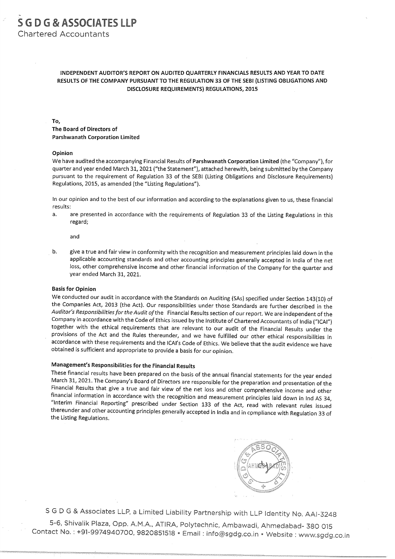### INDEPENDENT AUDITOR'S REPORT ON AUDITED QUARTERLY FINANCIALS RESULTS AND YEAR TO DATE RESULTS OF THE COMPANY PURSUANT TO THE REGULATION 33 OF THE SEBI (LISTING OBLIGATIONS AND DISCLOSURE REQUIREMENTS) REGULATIONS, 2015

To.

The Board of Directors of **Parshwanath Corporation Limited** 

#### Opinion

We have audited the accompanying Financial Results of Parshwanath Corporation Limited (the "Company"), for quarter and year ended March 31, 2021 ("the Statement"), attached herewith, being submitted by the Company pursuant to the requirement of Regulation 33 of the SEBI (Listing Obligations and Disclosure Requirements) Regulations, 2015, as amended (the "Listing Regulations").

In our opinion and to the best of our information and according to the explanations given to us, these financial results:

a. are presented in accordance with the requirements of Regulation 33 of the Listing Regulations in this regard;

and

give a true and fair view in conformity with the recognition and measurement principles laid down in the  $<sub>b</sub>$ </sub> applicable accounting standards and other accounting principles generally accepted in India of the net loss, other comprehensive income and other financial information of the Company for the quarter and year ended March 31, 2021.

#### **Basis for Opinion**

We conducted our audit in accordance with the Standards on Auditing (SAs) specified under Section 143(10) of the Companies Act, 2013 (the Act). Our responsibilities under those Standards are further described in the Auditor's Responsibilities for the Audit of the Financial Results section of our report. We are independent of the Company in accordance with the Code of Ethics issued by the Institute of Chartered Accountants of India ("ICAI") together with the ethical requirements that are relevant to our audit of the Financial Results under the provisions of the Act and the Rules thereunder, and we have fulfilled our other ethical responsibilities in accordance with these requirements and the ICAI's Code of Ethics. We believe that the audit evidence we have obtained is sufficient and appropriate to provide a basis for our opinion.

## Management's Responsibilities for the Financial Results

These financial results have been prepared on the basis of the annual financial statements for the year ended March 31, 2021. The Company's Board of Directors are responsible for the preparation and presentation of the Financial Results that give a true and fair view of the net loss and other comprehensive income and other financial information in accordance with the recognition and measurement principles laid down in Ind AS 34, "Interim Financial Reporting" prescribed under Section 133 of the Act, read with relevant rules issued thereunder and other accounting principles generally accepted in India and in compliance with Regulation 33 of the Listing Regulations.



S G D G & Associates LLP, a Limited Liability Partnership with LLP Identity No. AAI-3248

5-6, Shivalik Plaza, Opp. A.M.A., ATIRA, Polytechnic, Ambawadi, Ahmedabad- 380 015 Contact No.: +91-9974940700, 9820851518 · Email: info@sgdg.co.in · Website: www.sgdg.co.in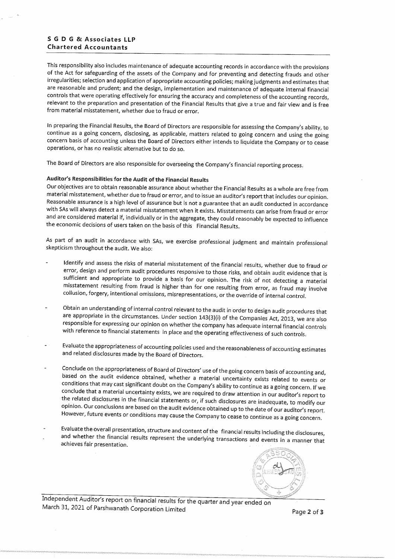## S G D G & Associates LLP **Chartered Accountants**

This responsibility also includes maintenance of adequate accounting records in accordance with the provisions of the Act for safeguarding of the assets of the Company and for preventing and detecting frauds and other irregularities; selection and application of appropriate accounting policies; making judgments and estimates that are reasonable and prudent; and the design, implementation and maintenance of adequate internal financial controls that were operating effectively for ensuring the accuracy and completeness of the accounting records, relevant to the preparation and presentation of the Financial Results that give a true and fair view and is free from material misstatement, whether due to fraud or error.

In preparing the Financial Results, the Board of Directors are responsible for assessing the Company's ability, to continue as a going concern, disclosing, as applicable, matters related to going concern and using the going concern basis of accounting unless the Board of Directors either intends to liquidate the Company or to cease operations, or has no realistic alternative but to do so.

The Board of Directors are also responsible for overseeing the Company's financial reporting process.

## Auditor's Responsibilities for the Audit of the Financial Results

Our objectives are to obtain reasonable assurance about whether the Financial Results as a whole are free from material misstatement, whether due to fraud or error, and to issue an auditor's report that includes our opinion. Reasonable assurance is a high level of assurance but is not a guarantee that an audit conducted in accordance with SAs will always detect a material misstatement when it exists. Misstatements can arise from fraud or error and are considered material if, individually or in the aggregate, they could reasonably be expected to influence the economic decisions of users taken on the basis of this Financial Results.

As part of an audit in accordance with SAs, we exercise professional judgment and maintain professional skepticism throughout the audit. We also:

- Identify and assess the risks of material misstatement of the financial results, whether due to fraud or error, design and perform audit procedures responsive to those risks, and obtain audit evidence that is sufficient and appropriate to provide a basis for our opinion. The risk of not detecting a material misstatement resulting from fraud is higher than for one resulting from error, as fraud may involve collusion, forgery, intentional omissions, misrepresentations, or the override of internal control.
- Obtain an understanding of internal control relevant to the audit in order to design audit procedures that are appropriate in the circumstances. Under section 143(3)(i) of the Companies Act, 2013, we are also responsible for expressing our opinion on whether the company has adequate internal financial controls with reference to financial statements in place and the operating effectiveness of such controls.
- Evaluate the appropriateness of accounting policies used and the reasonableness of accounting estimates and related disclosures made by the Board of Directors.
- Conclude on the appropriateness of Board of Directors' use of the going concern basis of accounting and, based on the audit evidence obtained, whether a material uncertainty exists related to events or conditions that may cast significant doubt on the Company's ability to continue as a going concern. If we conclude that a material uncertainty exists, we are required to draw attention in our auditor's report to the related disclosures in the financial statements or, if such disclosures are inadequate, to modify our opinion. Our conclusions are based on the audit evidence obtained up to the date of our auditor's report. However, future events or conditions may cause the Company to cease to continue as a going concern.
- Evaluate the overall presentation, structure and content of the financial results including the disclosures, and whether the financial results represent the underlying transactions and events in a manner that achieves fair presentation.



Independent Auditor's report on financial results for the quarter and year ended on March 31, 2021 of Parshwanath Corporation Limited

Page 2 of 3